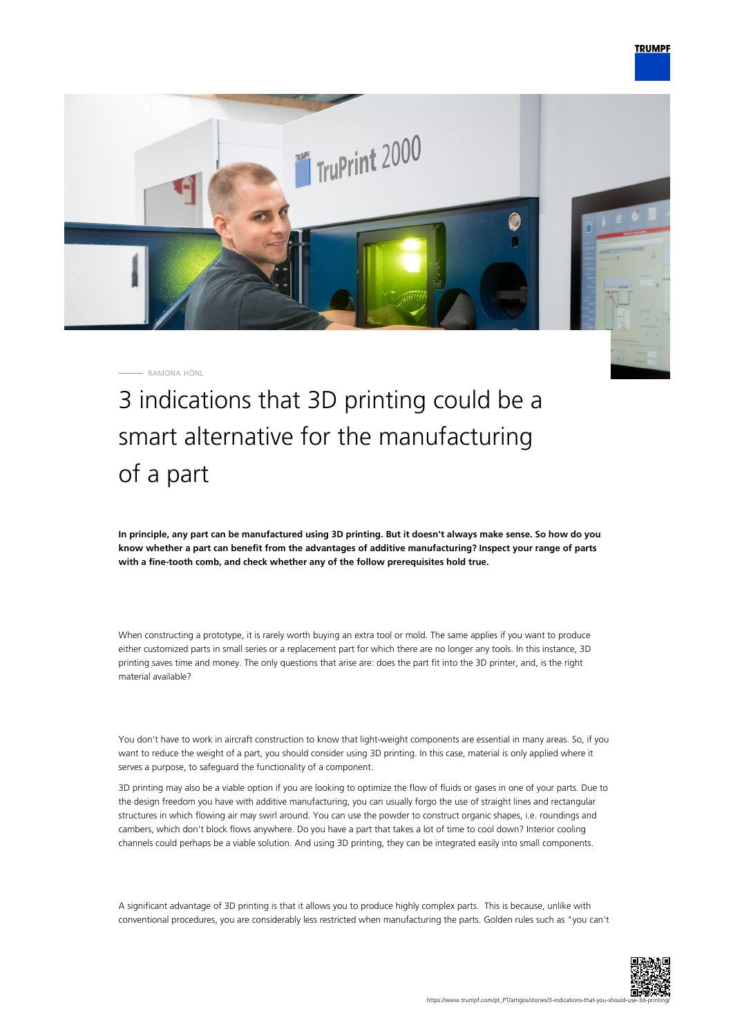

RAMONA HÖNL

3 indications that 3D printing could be a smart alternative for the manufacturing of a part

**In principle, any part can be manufactured using 3D printing. But it doesn't always make sense. So how do you know whether a part can benefit from the advantages of additive manufacturing? Inspect your range of parts with a fine-tooth comb, and check whether any of the follow prerequisites hold true.**

When constructing a prototype, it is rarely worth buying an extra tool or mold. The same applies if you want to produce either customized parts in small series or a replacement part for which there are no longer any tools. In this instance, 3D printing saves time and money. The only questions that arise are: does the part fit into the 3D printer, and, is the right material available?

You don't have to work in aircraft construction to know that light-weight components are essential in many areas. So, if you want to reduce the weight of a part, you should consider using 3D printing. In this case, material is only applied where it serves a purpose, to safeguard the functionality of a component.

3D printing may also be a viable option if you are looking to optimize the flow of fluids or gases in one of your parts. Due to the design freedom you have with additive manufacturing, you can usually forgo the use of straight lines and rectangular structures in which flowing air may swirl around. You can use the powder to construct organic shapes, i.e. roundings and cambers, which don't block flows anywhere. Do you have a part that takes a lot of time to cool down? Interior cooling channels could perhaps be a viable solution. And using 3D printing, they can be integrated easily into small components.

A significant advantage of 3D printing is that it allows you to produce highly complex parts. This is because, unlike with conventional procedures, you are considerably less restricted when manufacturing the parts. Golden rules such as "you can't